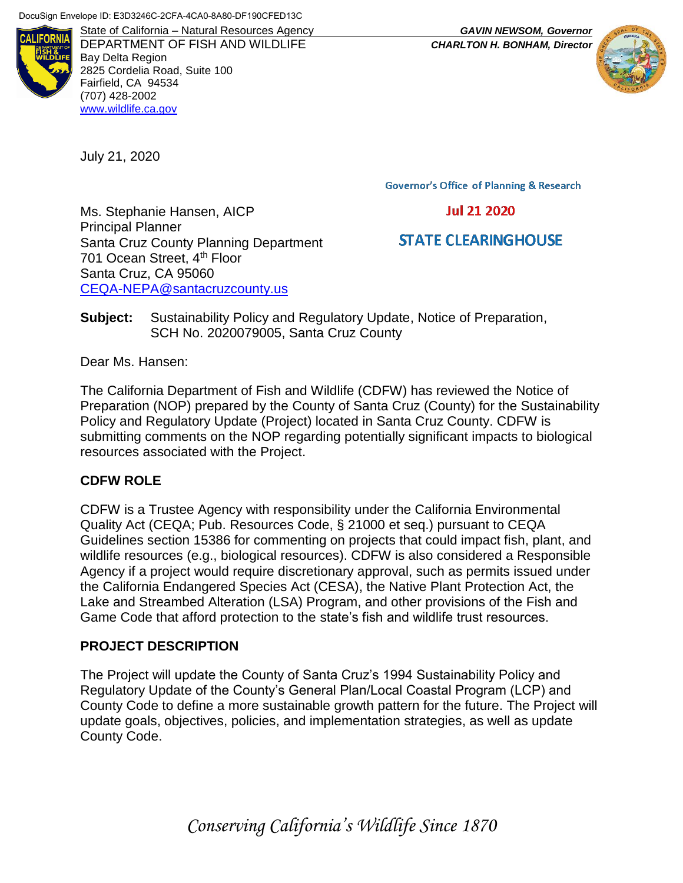

DEPARTMENT OF FISH AND WILDLIFE *CHARLTON H. BONHAM, Director* Bay Delta Region 2825 Cordelia Road, Suite 100 Fairfield, CA 94534 (707) 428-2002 [www.wildlife.ca.gov](http://www.wildlife.ca.gov/)

July 21, 2020

State of California – Natural Resources Agency *GAVIN NEWSOM, Governor*



**Governor's Office of Planning & Research** 

### **Jul 21 2020**

# **STATE CLEARINGHOUSE**

Ms. Stephanie Hansen, AICP Principal Planner Santa Cruz County Planning Department 701 Ocean Street, 4<sup>th</sup> Floor Santa Cruz, CA 95060 [CEQA-NEPA@santacruzcounty.us](mailto:CEQA-NEPA@santacruzcounty.us)

**Subject:** Sustainability Policy and Regulatory Update, Notice of Preparation, SCH No. 2020079005, Santa Cruz County

Dear Ms. Hansen:

The California Department of Fish and Wildlife (CDFW) has reviewed the Notice of Preparation (NOP) prepared by the County of Santa Cruz (County) for the Sustainability Policy and Regulatory Update (Project) located in Santa Cruz County. CDFW is submitting comments on the NOP regarding potentially significant impacts to biological resources associated with the Project.

## **CDFW ROLE**

CDFW is a Trustee Agency with responsibility under the California Environmental Quality Act (CEQA; Pub. Resources Code, § 21000 et seq.) pursuant to CEQA Guidelines section 15386 for commenting on projects that could impact fish, plant, and wildlife resources (e.g., biological resources). CDFW is also considered a Responsible Agency if a project would require discretionary approval, such as permits issued under the California Endangered Species Act (CESA), the Native Plant Protection Act, the Lake and Streambed Alteration (LSA) Program, and other provisions of the Fish and Game Code that afford protection to the state's fish and wildlife trust resources.

## **PROJECT DESCRIPTION**

The Project will update the County of Santa Cruz's 1994 Sustainability Policy and Regulatory Update of the County's General Plan/Local Coastal Program (LCP) and County Code to define a more sustainable growth pattern for the future. The Project will update goals, objectives, policies, and implementation strategies, as well as update County Code.

*Conserving California's Wildlife Since 1870*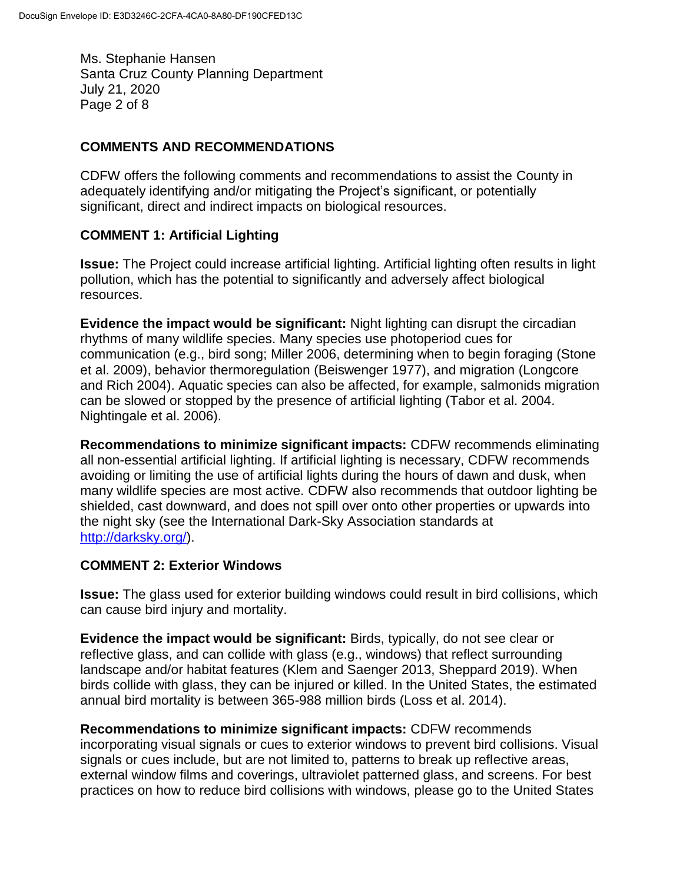Ms. Stephanie Hansen Santa Cruz County Planning Department July 21, 2020 Page 2 of 8

### **COMMENTS AND RECOMMENDATIONS**

CDFW offers the following comments and recommendations to assist the County in adequately identifying and/or mitigating the Project's significant, or potentially significant, direct and indirect impacts on biological resources.

### **COMMENT 1: Artificial Lighting**

**Issue:** The Project could increase artificial lighting. Artificial lighting often results in light pollution, which has the potential to significantly and adversely affect biological resources.

**Evidence the impact would be significant:** Night lighting can disrupt the circadian rhythms of many wildlife species. Many species use photoperiod cues for communication (e.g., bird song; Miller 2006, determining when to begin foraging (Stone et al. 2009), behavior thermoregulation (Beiswenger 1977), and migration (Longcore and Rich 2004). Aquatic species can also be affected, for example, salmonids migration can be slowed or stopped by the presence of artificial lighting (Tabor et al. 2004. Nightingale et al. 2006).

**Recommendations to minimize significant impacts:** CDFW recommends eliminating all non-essential artificial lighting. If artificial lighting is necessary, CDFW recommends avoiding or limiting the use of artificial lights during the hours of dawn and dusk, when many wildlife species are most active. CDFW also recommends that outdoor lighting be shielded, cast downward, and does not spill over onto other properties or upwards into the night sky (see the International Dark-Sky Association standards at [http://darksky.org/\)](http://darksky.org/).

### **COMMENT 2: Exterior Windows**

**Issue:** The glass used for exterior building windows could result in bird collisions, which can cause bird injury and mortality.

**Evidence the impact would be significant:** Birds, typically, do not see clear or reflective glass, and can collide with glass (e.g., windows) that reflect surrounding landscape and/or habitat features (Klem and Saenger 2013, Sheppard 2019). When birds collide with glass, they can be injured or killed. In the United States, the estimated annual bird mortality is between 365-988 million birds (Loss et al. 2014).

**Recommendations to minimize significant impacts:** CDFW recommends incorporating visual signals or cues to exterior windows to prevent bird collisions. Visual signals or cues include, but are not limited to, patterns to break up reflective areas, external window films and coverings, ultraviolet patterned glass, and screens. For best practices on how to reduce bird collisions with windows, please go to the United States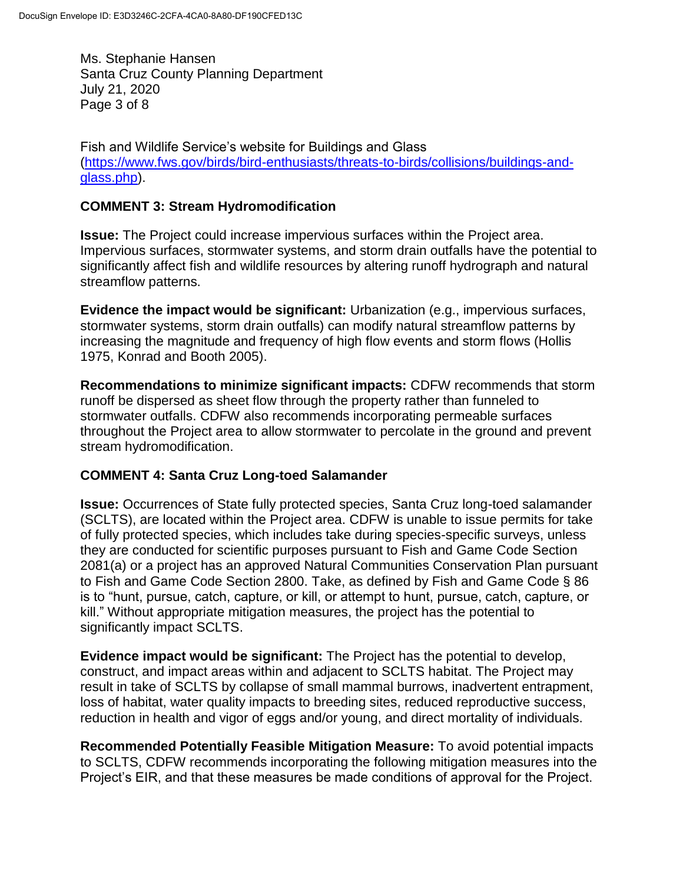Ms. Stephanie Hansen Santa Cruz County Planning Department July 21, 2020 Page 3 of 8

Fish and Wildlife Service's website for Buildings and Glass [\(https://www.fws.gov/birds/bird-enthusiasts/threats-to-birds/collisions/buildings-and](https://www.fws.gov/birds/bird-enthusiasts/threats-to-birds/collisions/buildings-and-glass.php)[glass.php\)](https://www.fws.gov/birds/bird-enthusiasts/threats-to-birds/collisions/buildings-and-glass.php).

### **COMMENT 3: Stream Hydromodification**

**Issue:** The Project could increase impervious surfaces within the Project area. Impervious surfaces, stormwater systems, and storm drain outfalls have the potential to significantly affect fish and wildlife resources by altering runoff hydrograph and natural streamflow patterns.

**Evidence the impact would be significant:** Urbanization (e.g., impervious surfaces, stormwater systems, storm drain outfalls) can modify natural streamflow patterns by increasing the magnitude and frequency of high flow events and storm flows (Hollis 1975, Konrad and Booth 2005).

**Recommendations to minimize significant impacts:** CDFW recommends that storm runoff be dispersed as sheet flow through the property rather than funneled to stormwater outfalls. CDFW also recommends incorporating permeable surfaces throughout the Project area to allow stormwater to percolate in the ground and prevent stream hydromodification.

### **COMMENT 4: Santa Cruz Long-toed Salamander**

**Issue:** Occurrences of State fully protected species, Santa Cruz long-toed salamander (SCLTS), are located within the Project area. CDFW is unable to issue permits for take of fully protected species, which includes take during species-specific surveys, unless they are conducted for scientific purposes pursuant to Fish and Game Code Section 2081(a) or a project has an approved Natural Communities Conservation Plan pursuant to Fish and Game Code Section 2800. Take, as defined by Fish and Game Code § 86 is to "hunt, pursue, catch, capture, or kill, or attempt to hunt, pursue, catch, capture, or kill." Without appropriate mitigation measures, the project has the potential to significantly impact SCLTS.

**Evidence impact would be significant:** The Project has the potential to develop, construct, and impact areas within and adjacent to SCLTS habitat. The Project may result in take of SCLTS by collapse of small mammal burrows, inadvertent entrapment, loss of habitat, water quality impacts to breeding sites, reduced reproductive success, reduction in health and vigor of eggs and/or young, and direct mortality of individuals.

**Recommended Potentially Feasible Mitigation Measure:** To avoid potential impacts to SCLTS, CDFW recommends incorporating the following mitigation measures into the Project's EIR, and that these measures be made conditions of approval for the Project.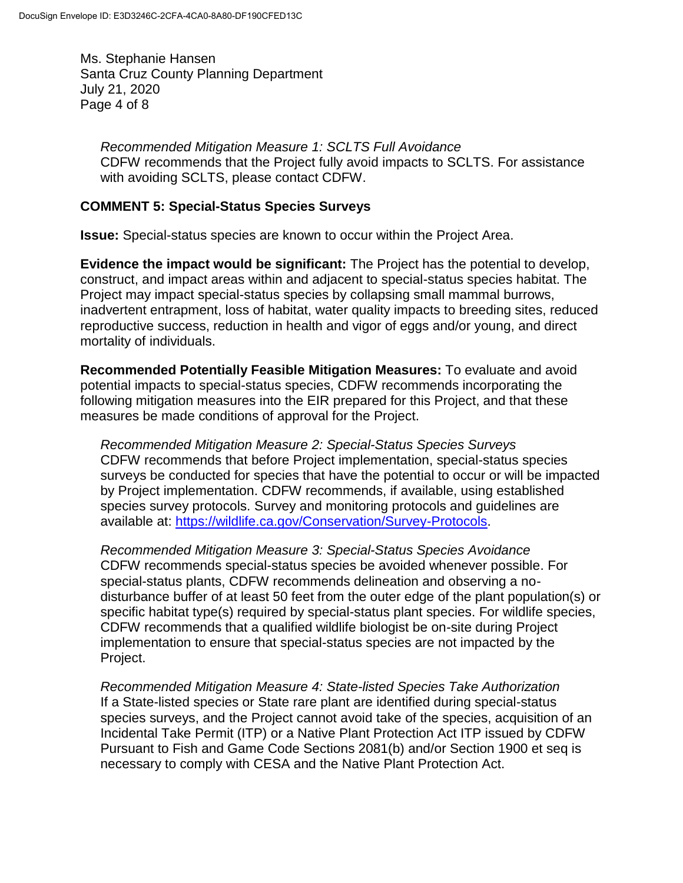Ms. Stephanie Hansen Santa Cruz County Planning Department July 21, 2020 Page 4 of 8

*Recommended Mitigation Measure 1: SCLTS Full Avoidance* CDFW recommends that the Project fully avoid impacts to SCLTS. For assistance with avoiding SCLTS, please contact CDFW.

#### **COMMENT 5: Special-Status Species Surveys**

**Issue:** Special-status species are known to occur within the Project Area.

**Evidence the impact would be significant:** The Project has the potential to develop, construct, and impact areas within and adjacent to special-status species habitat. The Project may impact special-status species by collapsing small mammal burrows, inadvertent entrapment, loss of habitat, water quality impacts to breeding sites, reduced reproductive success, reduction in health and vigor of eggs and/or young, and direct mortality of individuals.

**Recommended Potentially Feasible Mitigation Measures:** To evaluate and avoid potential impacts to special-status species, CDFW recommends incorporating the following mitigation measures into the EIR prepared for this Project, and that these measures be made conditions of approval for the Project.

*Recommended Mitigation Measure 2: Special-Status Species Surveys* CDFW recommends that before Project implementation, special-status species surveys be conducted for species that have the potential to occur or will be impacted by Project implementation. CDFW recommends, if available, using established species survey protocols. Survey and monitoring protocols and guidelines are available at: [https://wildlife.ca.gov/Conservation/Survey-Protocols.](https://wildlife.ca.gov/Conservation/Survey-Protocols)

*Recommended Mitigation Measure 3: Special-Status Species Avoidance* CDFW recommends special-status species be avoided whenever possible. For special-status plants, CDFW recommends delineation and observing a nodisturbance buffer of at least 50 feet from the outer edge of the plant population(s) or specific habitat type(s) required by special-status plant species. For wildlife species, CDFW recommends that a qualified wildlife biologist be on-site during Project implementation to ensure that special-status species are not impacted by the Project.

*Recommended Mitigation Measure 4: State-listed Species Take Authorization* If a State-listed species or State rare plant are identified during special-status species surveys, and the Project cannot avoid take of the species, acquisition of an Incidental Take Permit (ITP) or a Native Plant Protection Act ITP issued by CDFW Pursuant to Fish and Game Code Sections 2081(b) and/or Section 1900 et seq is necessary to comply with CESA and the Native Plant Protection Act.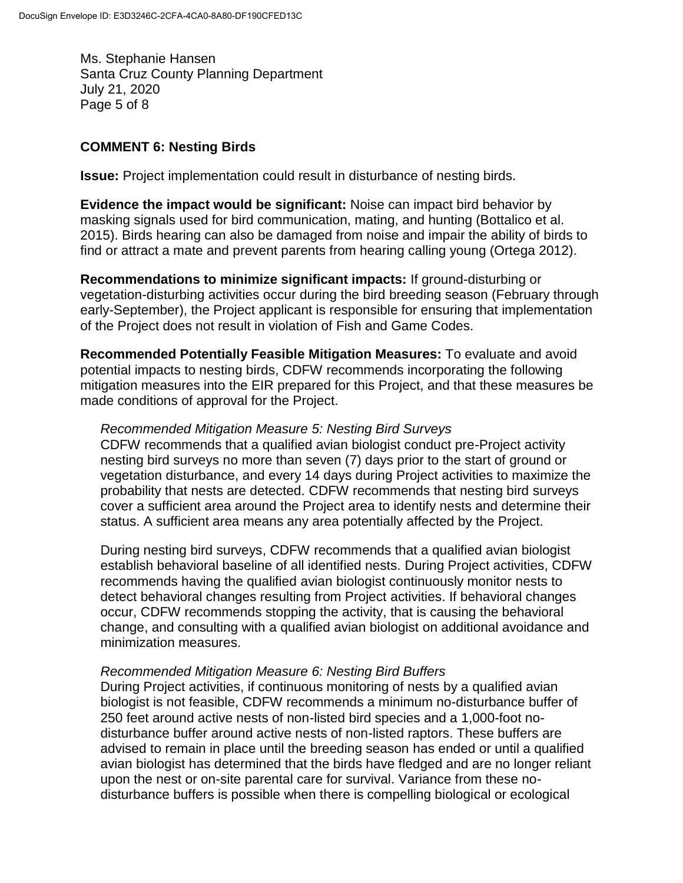Ms. Stephanie Hansen Santa Cruz County Planning Department July 21, 2020 Page 5 of 8

#### **COMMENT 6: Nesting Birds**

**Issue:** Project implementation could result in disturbance of nesting birds.

**Evidence the impact would be significant:** Noise can impact bird behavior by masking signals used for bird communication, mating, and hunting (Bottalico et al. 2015). Birds hearing can also be damaged from noise and impair the ability of birds to find or attract a mate and prevent parents from hearing calling young (Ortega 2012).

**Recommendations to minimize significant impacts:** If ground-disturbing or vegetation-disturbing activities occur during the bird breeding season (February through early-September), the Project applicant is responsible for ensuring that implementation of the Project does not result in violation of Fish and Game Codes.

**Recommended Potentially Feasible Mitigation Measures:** To evaluate and avoid potential impacts to nesting birds, CDFW recommends incorporating the following mitigation measures into the EIR prepared for this Project, and that these measures be made conditions of approval for the Project.

#### *Recommended Mitigation Measure 5: Nesting Bird Surveys*

CDFW recommends that a qualified avian biologist conduct pre-Project activity nesting bird surveys no more than seven (7) days prior to the start of ground or vegetation disturbance, and every 14 days during Project activities to maximize the probability that nests are detected. CDFW recommends that nesting bird surveys cover a sufficient area around the Project area to identify nests and determine their status. A sufficient area means any area potentially affected by the Project.

During nesting bird surveys, CDFW recommends that a qualified avian biologist establish behavioral baseline of all identified nests. During Project activities, CDFW recommends having the qualified avian biologist continuously monitor nests to detect behavioral changes resulting from Project activities. If behavioral changes occur, CDFW recommends stopping the activity, that is causing the behavioral change, and consulting with a qualified avian biologist on additional avoidance and minimization measures.

#### *Recommended Mitigation Measure 6: Nesting Bird Buffers*

During Project activities, if continuous monitoring of nests by a qualified avian biologist is not feasible, CDFW recommends a minimum no-disturbance buffer of 250 feet around active nests of non-listed bird species and a 1,000-foot nodisturbance buffer around active nests of non-listed raptors. These buffers are advised to remain in place until the breeding season has ended or until a qualified avian biologist has determined that the birds have fledged and are no longer reliant upon the nest or on-site parental care for survival. Variance from these nodisturbance buffers is possible when there is compelling biological or ecological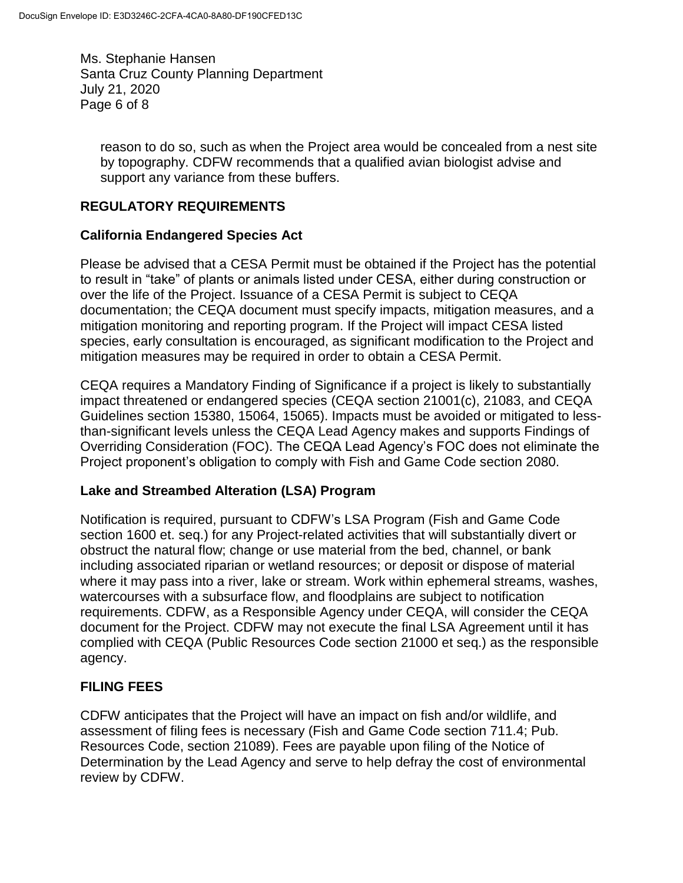Ms. Stephanie Hansen Santa Cruz County Planning Department July 21, 2020 Page 6 of 8

reason to do so, such as when the Project area would be concealed from a nest site by topography. CDFW recommends that a qualified avian biologist advise and support any variance from these buffers.

### **REGULATORY REQUIREMENTS**

#### **California Endangered Species Act**

Please be advised that a CESA Permit must be obtained if the Project has the potential to result in "take" of plants or animals listed under CESA, either during construction or over the life of the Project. Issuance of a CESA Permit is subject to CEQA documentation; the CEQA document must specify impacts, mitigation measures, and a mitigation monitoring and reporting program. If the Project will impact CESA listed species, early consultation is encouraged, as significant modification to the Project and mitigation measures may be required in order to obtain a CESA Permit.

CEQA requires a Mandatory Finding of Significance if a project is likely to substantially impact threatened or endangered species (CEQA section 21001(c), 21083, and CEQA Guidelines section 15380, 15064, 15065). Impacts must be avoided or mitigated to lessthan-significant levels unless the CEQA Lead Agency makes and supports Findings of Overriding Consideration (FOC). The CEQA Lead Agency's FOC does not eliminate the Project proponent's obligation to comply with Fish and Game Code section 2080.

### **Lake and Streambed Alteration (LSA) Program**

Notification is required, pursuant to CDFW's LSA Program (Fish and Game Code section 1600 et. seq.) for any Project-related activities that will substantially divert or obstruct the natural flow; change or use material from the bed, channel, or bank including associated riparian or wetland resources; or deposit or dispose of material where it may pass into a river, lake or stream. Work within ephemeral streams, washes, watercourses with a subsurface flow, and floodplains are subject to notification requirements. CDFW, as a Responsible Agency under CEQA, will consider the CEQA document for the Project. CDFW may not execute the final LSA Agreement until it has complied with CEQA (Public Resources Code section 21000 et seq.) as the responsible agency.

### **FILING FEES**

CDFW anticipates that the Project will have an impact on fish and/or wildlife, and assessment of filing fees is necessary (Fish and Game Code section 711.4; Pub. Resources Code, section 21089). Fees are payable upon filing of the Notice of Determination by the Lead Agency and serve to help defray the cost of environmental review by CDFW.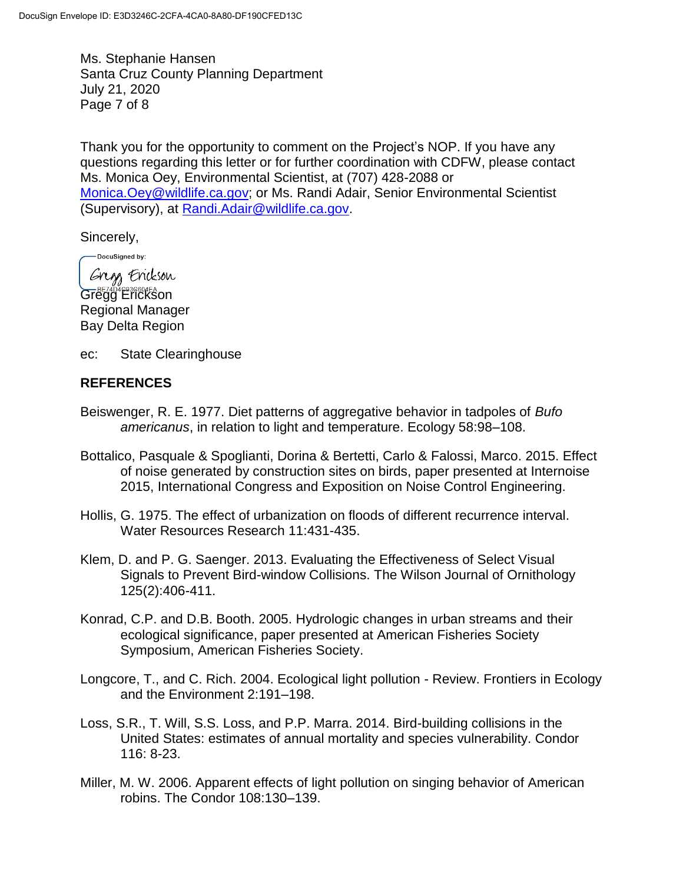Ms. Stephanie Hansen Santa Cruz County Planning Department July 21, 2020 Page 7 of 8

Thank you for the opportunity to comment on the Project's NOP. If you have any questions regarding this letter or for further coordination with CDFW, please contact Ms. Monica Oey, Environmental Scientist, at (707) 428-2088 or [Monica.Oey@wildlife.ca.gov;](mailto:Monica.Oey@wildlife.ca.gov) or Ms. Randi Adair, Senior Environmental Scientist (Supervisory), at [Randi.Adair@wildlife.ca.gov.](mailto:Randi.Adair@wildlife.ca.gov)

Sincerely,

DocuSigned by:

Gregg Erickson Gregg Erickson Regional Manager Bay Delta Region

ec: State Clearinghouse

#### **REFERENCES**

- Beiswenger, R. E. 1977. Diet patterns of aggregative behavior in tadpoles of *Bufo americanus*, in relation to light and temperature. Ecology 58:98–108.
- Bottalico, Pasquale & Spoglianti, Dorina & Bertetti, Carlo & Falossi, Marco. 2015. Effect of noise generated by construction sites on birds, paper presented at Internoise 2015, International Congress and Exposition on Noise Control Engineering.
- Hollis, G. 1975. The effect of urbanization on floods of different recurrence interval. Water Resources Research 11:431-435.
- Klem, D. and P. G. Saenger. 2013. Evaluating the Effectiveness of Select Visual Signals to Prevent Bird-window Collisions. The Wilson Journal of Ornithology 125(2):406-411.
- Konrad, C.P. and D.B. Booth. 2005. Hydrologic changes in urban streams and their ecological significance, paper presented at American Fisheries Society Symposium, American Fisheries Society.
- Longcore, T., and C. Rich. 2004. Ecological light pollution Review. Frontiers in Ecology and the Environment 2:191–198.
- Loss, S.R., T. Will, S.S. Loss, and P.P. Marra. 2014. Bird-building collisions in the United States: estimates of annual mortality and species vulnerability. Condor 116: 8-23.
- Miller, M. W. 2006. Apparent effects of light pollution on singing behavior of American robins. The Condor 108:130–139.